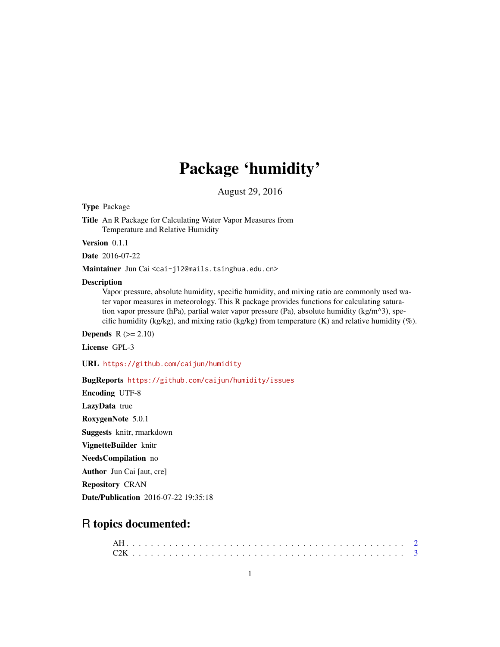## Package 'humidity'

August 29, 2016

Type Package

Title An R Package for Calculating Water Vapor Measures from Temperature and Relative Humidity

Version 0.1.1

Date 2016-07-22

Maintainer Jun Cai <cai-j12@mails.tsinghua.edu.cn>

#### Description

Vapor pressure, absolute humidity, specific humidity, and mixing ratio are commonly used water vapor measures in meteorology. This R package provides functions for calculating saturation vapor pressure (hPa), partial water vapor pressure (Pa), absolute humidity (kg/m<sup> $\land$ </sup>3), specific humidity (kg/kg), and mixing ratio (kg/kg) from temperature (K) and relative humidity (%).

**Depends**  $R (= 2.10)$ 

License GPL-3

URL <https://github.com/caijun/humidity>

#### BugReports <https://github.com/caijun/humidity/issues>

Encoding UTF-8 LazyData true RoxygenNote 5.0.1 Suggests knitr, rmarkdown VignetteBuilder knitr NeedsCompilation no

Author Jun Cai [aut, cre]

Repository CRAN

Date/Publication 2016-07-22 19:35:18

### R topics documented: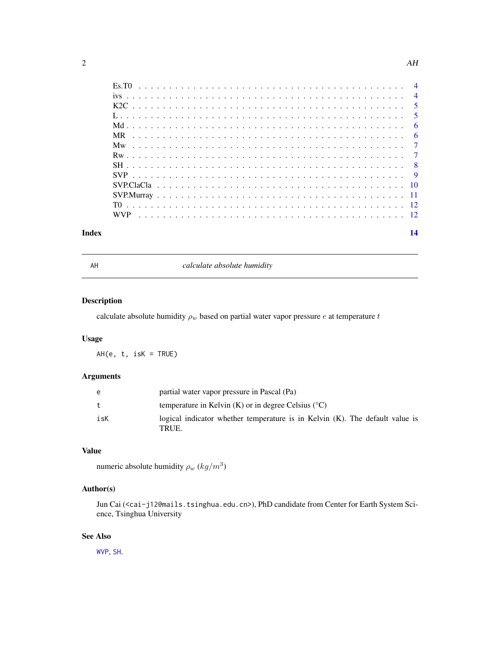<span id="page-1-0"></span>

<span id="page-1-1"></span>

AH *calculate absolute humidity*

#### Description

calculate absolute humidity  $\rho_w$  based on partial water vapor pressure  $e$  at temperature  $t$ 

#### Usage

AH(e, t, isK = TRUE)

#### Arguments

| e   | partial water vapor pressure in Pascal (Pa)                                              |
|-----|------------------------------------------------------------------------------------------|
| t.  | temperature in Kelvin $(K)$ or in degree Celsius $({}^{\circ}C)$                         |
| isK | logical indicator whether temperature is in Kelvin $(K)$ . The default value is<br>TRUE. |

#### Value

numeric absolute humidity  $\rho_w (kg/m^3)$ 

#### Author(s)

Jun Cai (<cai-j12@mails.tsinghua.edu.cn>), PhD candidate from Center for Earth System Science, Tsinghua University

#### See Also

[WVP](#page-11-1), [SH](#page-7-1).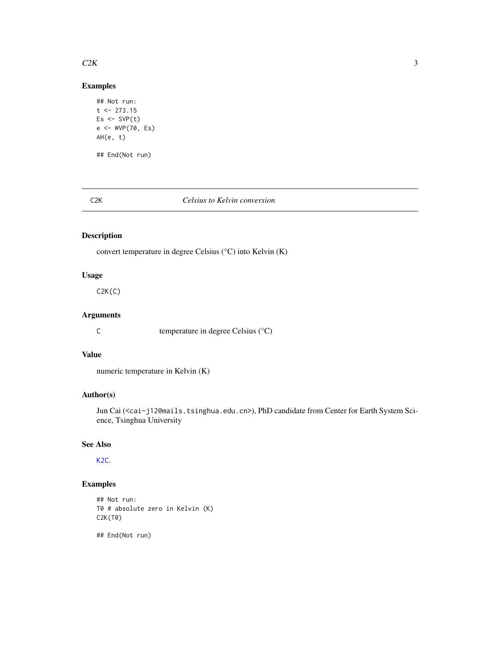#### <span id="page-2-0"></span> $C2K$  3

#### Examples

```
## Not run:
t < -273.15Es \leftarrow SVP(t)e <- WVP(70, Es)
AH(e, t)
## End(Not run)
```
#### <span id="page-2-1"></span>C2K *Celsius to Kelvin conversion*

#### Description

convert temperature in degree Celsius (°C) into Kelvin (K)

#### Usage

C2K(C)

#### Arguments

C temperature in degree Celsius (°C)

#### Value

```
numeric temperature in Kelvin (K)
```
#### Author(s)

Jun Cai (<cai-j12@mails.tsinghua.edu.cn>), PhD candidate from Center for Earth System Science, Tsinghua University

#### See Also

[K2C](#page-4-1).

#### Examples

## Not run: T0 # absolute zero in Kelvin (K) C2K(T0)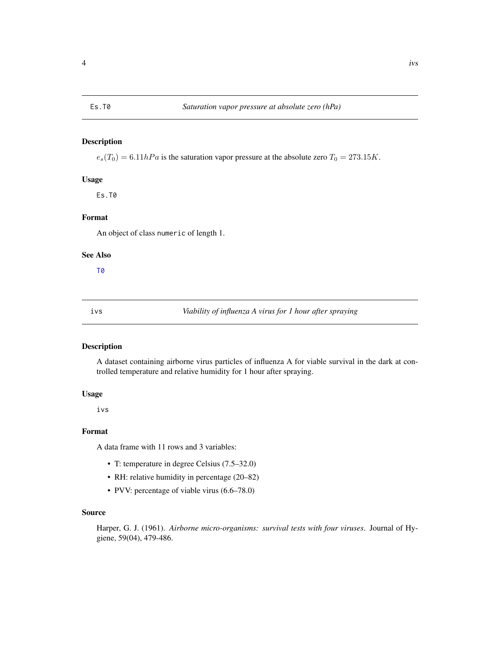<span id="page-3-0"></span> $e_s(T_0) = 6.11hPa$  is the saturation vapor pressure at the absolute zero  $T_0 = 273.15K$ .

#### Usage

Es.T0

#### Format

An object of class numeric of length 1.

#### See Also

[T0](#page-11-2)

ivs *Viability of influenza A virus for 1 hour after spraying*

#### Description

A dataset containing airborne virus particles of influenza A for viable survival in the dark at controlled temperature and relative humidity for 1 hour after spraying.

#### Usage

ivs

#### Format

A data frame with 11 rows and 3 variables:

- T: temperature in degree Celsius (7.5–32.0)
- RH: relative humidity in percentage (20–82)
- PVV: percentage of viable virus (6.6–78.0)

#### Source

Harper, G. J. (1961). *Airborne micro-organisms: survival tests with four viruses*. Journal of Hygiene, 59(04), 479-486.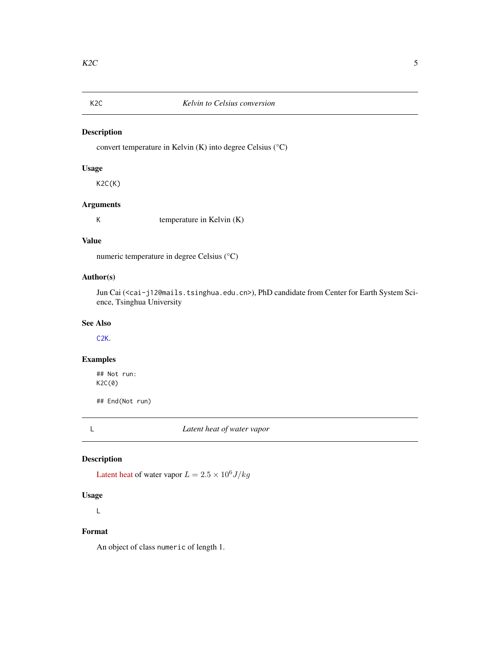<span id="page-4-1"></span><span id="page-4-0"></span>

convert temperature in Kelvin (K) into degree Celsius (°C)

#### Usage

K2C(K)

#### Arguments

K temperature in Kelvin (K)

#### Value

numeric temperature in degree Celsius (°C)

#### Author(s)

Jun Cai (<cai-j12@mails.tsinghua.edu.cn>), PhD candidate from Center for Earth System Science, Tsinghua University

#### See Also

[C2K](#page-2-1).

### Examples

## Not run: K2C(0)

## End(Not run)

L *Latent heat of water vapor*

#### Description

[Latent heat](https://en.wikipedia.org/wiki/Latent_heat) of water vapor  $L = 2.5 \times 10^6 J/kg$ 

#### Usage

L

#### Format

An object of class numeric of length 1.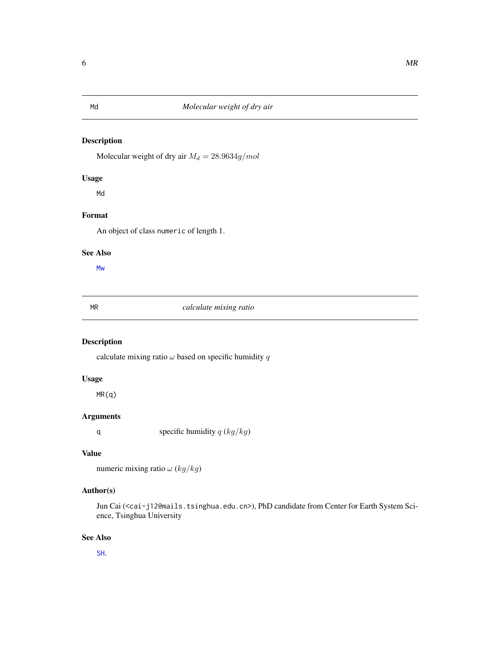<span id="page-5-1"></span><span id="page-5-0"></span>Molecular weight of dry air  $M_d = 28.9634g/mol$ 

#### Usage

Md

#### Format

An object of class numeric of length 1.

#### See Also

[Mw](#page-6-1)

#### <span id="page-5-2"></span>MR *calculate mixing ratio*

### Description

calculate mixing ratio  $\omega$  based on specific humidity  $q$ 

#### Usage

MR(q)

#### Arguments

q specific humidity  $q$  ( $kg/kg$ )

#### Value

numeric mixing ratio  $\omega$  (kg/kg)

#### Author(s)

Jun Cai (<cai-j12@mails.tsinghua.edu.cn>), PhD candidate from Center for Earth System Science, Tsinghua University

#### See Also

[SH](#page-7-1).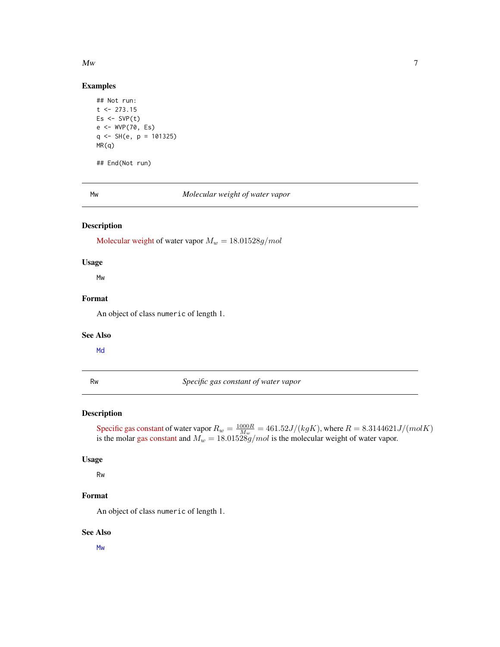#### <span id="page-6-0"></span> $M_{W}$  7

#### Examples

```
## Not run:
t < -273.15Es \leftarrow SVP(t)e <- WVP(70, Es)
q <- SH(e, p = 101325)
MR(q)
## End(Not run)
```
<span id="page-6-1"></span>

Mw *Molecular weight of water vapor*

#### Description

[Molecular weight](https://en.wikipedia.org/wiki/Molar_mass) of water vapor  $M_w = 18.01528g/mol$ 

#### Usage

Mw

#### Format

An object of class numeric of length 1.

#### See Also

[Md](#page-5-1)

Rw *Specific gas constant of water vapor*

#### Description

[Specific gas constant](https://en.wikipedia.org/wiki/Gas_constant#Specific_gas_constant) of water vapor  $R_w = \frac{1000R}{M_w} = 461.52J/(kgK)$ , where  $R = 8.3144621J/(molK)$ is the molar [gas constant](https://en.wikipedia.org/wiki/Gas_constant) and  $M_w = 18.01528 \bar{g}/mol$  is the molecular weight of water vapor.

#### Usage

Rw

#### Format

An object of class numeric of length 1.

#### See Also

[Mw](#page-6-1)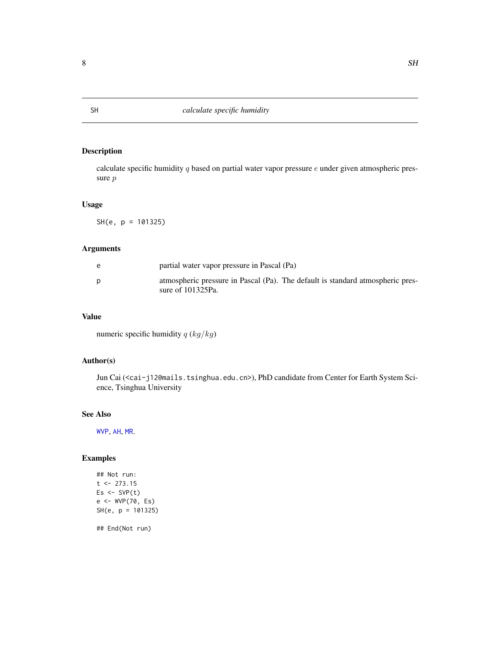calculate specific humidity  $q$  based on partial water vapor pressure  $e$  under given atmospheric pressure p

#### Usage

SH(e, p = 101325)

#### Arguments

| e | partial water vapor pressure in Pascal (Pa)                                                            |
|---|--------------------------------------------------------------------------------------------------------|
| p | atmospheric pressure in Pascal (Pa). The default is standard atmospheric pres-<br>sure of $101325Pa$ . |

#### Value

numeric specific humidity  $q$  ( $kg/kg$ )

#### Author(s)

Jun Cai (<cai-j12@mails.tsinghua.edu.cn>), PhD candidate from Center for Earth System Science, Tsinghua University

#### See Also

[WVP](#page-11-1), [AH](#page-1-1), [MR](#page-5-2).

### Examples

```
## Not run:
t <- 273.15
Es < -SVP(t)e <- WVP(70, Es)
SH(e, p = 101325)
```
<span id="page-7-1"></span><span id="page-7-0"></span>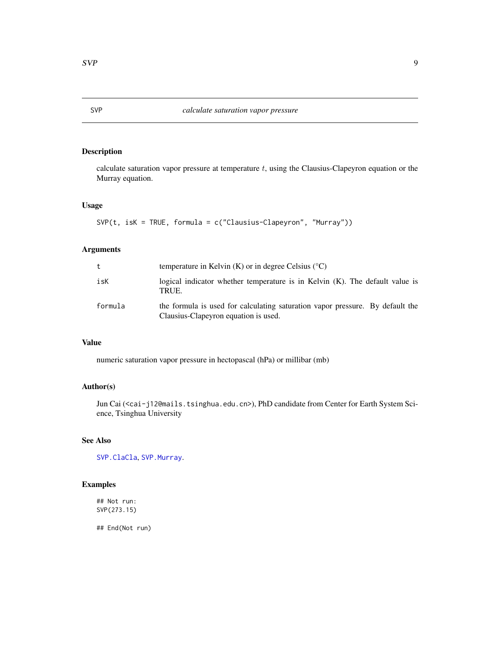calculate saturation vapor pressure at temperature  $t$ , using the Clausius-Clapeyron equation or the Murray equation.

#### Usage

```
SVP(t, isK = TRUE, formula = c("Clausius-Clapeyron", "Murray"))
```
#### Arguments

| t       | temperature in Kelvin $(K)$ or in degree Celsius $({}^{\circ}C)$                                                      |
|---------|-----------------------------------------------------------------------------------------------------------------------|
| isK     | logical indicator whether temperature is in Kelvin $(K)$ . The default value is<br>TRUE.                              |
| formula | the formula is used for calculating saturation vapor pressure. By default the<br>Clausius-Clapeyron equation is used. |

#### Value

numeric saturation vapor pressure in hectopascal (hPa) or millibar (mb)

#### Author(s)

Jun Cai (<cai-j12@mails.tsinghua.edu.cn>), PhD candidate from Center for Earth System Science, Tsinghua University

#### See Also

[SVP.ClaCla](#page-9-1), [SVP.Murray](#page-10-1).

#### Examples

## Not run: SVP(273.15)

<span id="page-8-1"></span><span id="page-8-0"></span>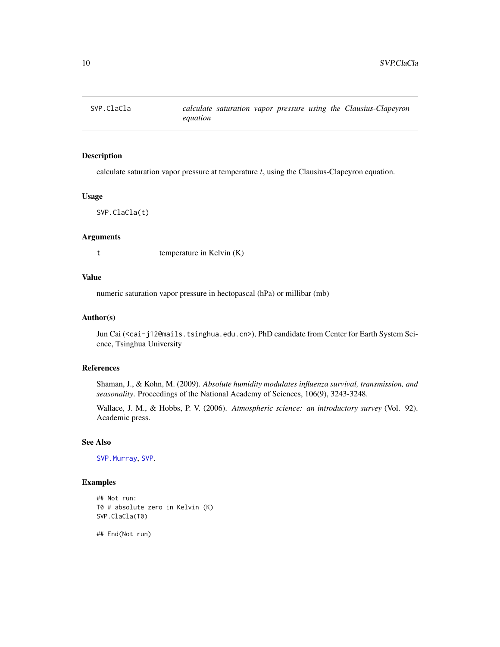<span id="page-9-1"></span><span id="page-9-0"></span>

calculate saturation vapor pressure at temperature  $t$ , using the Clausius-Clapeyron equation.

#### Usage

SVP.ClaCla(t)

#### Arguments

t temperature in Kelvin (K)

#### Value

numeric saturation vapor pressure in hectopascal (hPa) or millibar (mb)

#### Author(s)

Jun Cai (<cai-j12@mails.tsinghua.edu.cn>), PhD candidate from Center for Earth System Science, Tsinghua University

#### References

Shaman, J., & Kohn, M. (2009). *Absolute humidity modulates influenza survival, transmission, and seasonality*. Proceedings of the National Academy of Sciences, 106(9), 3243-3248.

Wallace, J. M., & Hobbs, P. V. (2006). *Atmospheric science: an introductory survey* (Vol. 92). Academic press.

#### See Also

[SVP.Murray](#page-10-1), [SVP](#page-8-1).

#### Examples

```
## Not run:
T0 # absolute zero in Kelvin (K)
SVP.ClaCla(T0)
```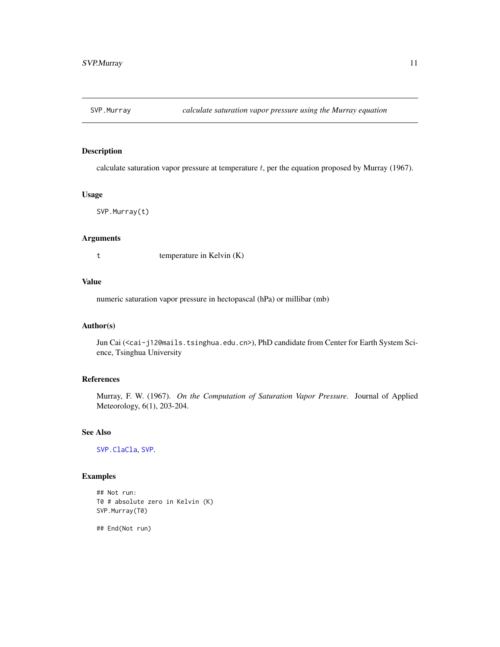<span id="page-10-1"></span><span id="page-10-0"></span>

calculate saturation vapor pressure at temperature  $t$ , per the equation proposed by Murray (1967).

#### Usage

SVP.Murray(t)

#### Arguments

t temperature in Kelvin (K)

#### Value

numeric saturation vapor pressure in hectopascal (hPa) or millibar (mb)

#### Author(s)

Jun Cai (<cai-j12@mails.tsinghua.edu.cn>), PhD candidate from Center for Earth System Science, Tsinghua University

#### References

Murray, F. W. (1967). *On the Computation of Saturation Vapor Pressure*. Journal of Applied Meteorology, 6(1), 203-204.

#### See Also

[SVP.ClaCla](#page-9-1), [SVP](#page-8-1).

#### Examples

## Not run: T0 # absolute zero in Kelvin (K) SVP.Murray(T0)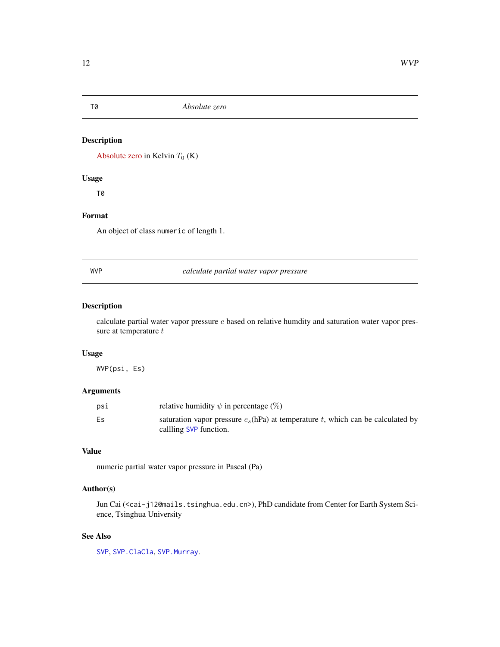[Absolute zero](https://en.wikipedia.org/wiki/Absolute_zero) in Kelvin  $T_0$  (K)

#### Usage

T0

#### Format

An object of class numeric of length 1.

<span id="page-11-1"></span>WVP *calculate partial water vapor pressure*

#### Description

calculate partial water vapor pressure  $e$  based on relative humdity and saturation water vapor pressure at temperature  $t$ 

#### Usage

WVP(psi, Es)

#### Arguments

| psi | relative humidity $\psi$ in percentage (%)                                                                   |
|-----|--------------------------------------------------------------------------------------------------------------|
| Es  | saturation vapor pressure $e_s$ (hPa) at temperature t, which can be calculated by<br>callling SVP function. |

#### Value

numeric partial water vapor pressure in Pascal (Pa)

#### Author(s)

Jun Cai (<cai-j12@mails.tsinghua.edu.cn>), PhD candidate from Center for Earth System Science, Tsinghua University

#### See Also

[SVP](#page-8-1), [SVP.ClaCla](#page-9-1), [SVP.Murray](#page-10-1).

<span id="page-11-2"></span><span id="page-11-0"></span>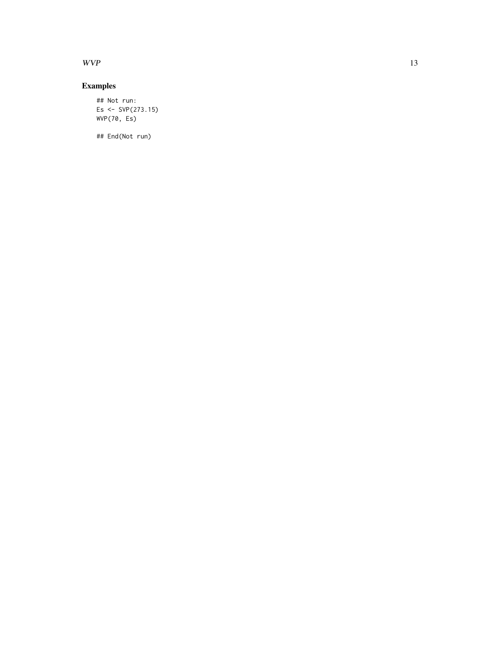$WVP$  13

### Examples

## Not run: Es  $\le$  SVP(273.15) WVP(70, Es)